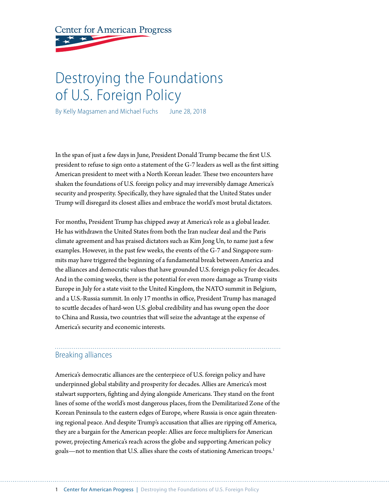**Center for American Progress** 

# Destroying the Foundations of U.S. Foreign Policy

By Kelly Magsamen and Michael Fuchs June 28, 2018

In the span of just a few days in June, President Donald Trump became the first U.S. president to refuse to sign onto a statement of the G-7 leaders as well as the first sitting American president to meet with a North Korean leader. These two encounters have shaken the foundations of U.S. foreign policy and may irreversibly damage America's security and prosperity. Specifically, they have signaled that the United States under Trump will disregard its closest allies and embrace the world's most brutal dictators.

For months, President Trump has chipped away at America's role as a global leader. He has withdrawn the United States from both the Iran nuclear deal and the Paris climate agreement and has praised dictators such as Kim Jong Un, to name just a few examples. However, in the past few weeks, the events of the G-7 and Singapore summits may have triggered the beginning of a fundamental break between America and the alliances and democratic values that have grounded U.S. foreign policy for decades. And in the coming weeks, there is the potential for even more damage as Trump visits Europe in July for a state visit to the United Kingdom, the NATO summit in Belgium, and a U.S.-Russia summit. In only 17 months in office, President Trump has managed to scuttle decades of hard-won U.S. global credibility and has swung open the door to China and Russia, two countries that will seize the advantage at the expense of America's security and economic interests.

# Breaking alliances

America's democratic alliances are the centerpiece of U.S. foreign policy and have underpinned global stability and prosperity for decades. Allies are America's most stalwart supporters, fighting and dying alongside Americans. They stand on the front lines of some of the world's most dangerous places, from the Demilitarized Zone of the Korean Peninsula to the eastern edges of Europe, where Russia is once again threatening regional peace. And despite Trump's accusation that allies are ripping off America, they are a bargain for the American people: Allies are force multipliers for American power, projecting America's reach across the globe and supporting American policy goals—not to mention that U.S. allies share the costs of stationing American troops.1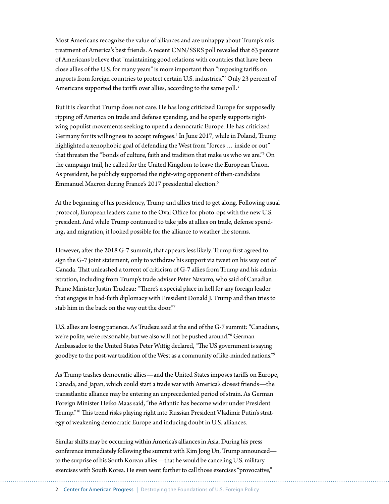Most Americans recognize the value of alliances and are unhappy about Trump's mistreatment of America's best friends. A recent CNN/SSRS poll revealed that 63 percent of Americans believe that "maintaining good relations with countries that have been close allies of the U.S. for many years" is more important than "imposing tariffs on imports from foreign countries to protect certain U.S. industries."2 Only 23 percent of Americans supported the tariffs over allies, according to the same poll.<sup>3</sup>

But it is clear that Trump does not care. He has long criticized Europe for supposedly ripping off America on trade and defense spending, and he openly supports rightwing populist movements seeking to upend a democratic Europe. He has criticized Germany for its willingness to accept refugees.<sup>4</sup> In June 2017, while in Poland, Trump highlighted a xenophobic goal of defending the West from "forces … inside or out" that threaten the "bonds of culture, faith and tradition that make us who we are."5 On the campaign trail, he called for the United Kingdom to leave the European Union. As president, he publicly supported the right-wing opponent of then-candidate Emmanuel Macron during France's 2017 presidential election.6

At the beginning of his presidency, Trump and allies tried to get along. Following usual protocol, European leaders came to the Oval Office for photo-ops with the new U.S. president. And while Trump continued to take jabs at allies on trade, defense spending, and migration, it looked possible for the alliance to weather the storms.

However, after the 2018 G-7 summit, that appears less likely. Trump first agreed to sign the G-7 joint statement, only to withdraw his support via tweet on his way out of Canada. That unleashed a torrent of criticism of G-7 allies from Trump and his administration, including from Trump's trade adviser Peter Navarro, who said of Canadian Prime Minister Justin Trudeau: "There's a special place in hell for any foreign leader that engages in bad-faith diplomacy with President Donald J. Trump and then tries to stab him in the back on the way out the door."7

U.S. allies are losing patience. As Trudeau said at the end of the G-7 summit: "Canadians, we're polite, we're reasonable, but we also will not be pushed around."8 German Ambassador to the United States Peter Wittig declared, "The US government is saying goodbye to the post-war tradition of the West as a community of like-minded nations."9

As Trump trashes democratic allies—and the United States imposes tariffs on Europe, Canada, and Japan, which could start a trade war with America's closest friends—the transatlantic alliance may be entering an unprecedented period of strain. As German Foreign Minister Heiko Maas said, "the Atlantic has become wider under President Trump."10 This trend risks playing right into Russian President Vladimir Putin's strategy of weakening democratic Europe and inducing doubt in U.S. alliances.

Similar shifts may be occurring within America's alliances in Asia. During his press conference immediately following the summit with Kim Jong Un, Trump announced to the surprise of his South Korean allies—that he would be canceling U.S. military exercises with South Korea. He even went further to call those exercises "provocative,"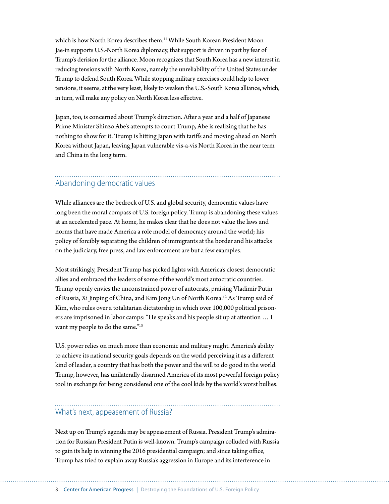which is how North Korea describes them.11 While South Korean President Moon Jae-in supports U.S.-North Korea diplomacy, that support is driven in part by fear of Trump's derision for the alliance. Moon recognizes that South Korea has a new interest in reducing tensions with North Korea, namely the unreliability of the United States under Trump to defend South Korea. While stopping military exercises could help to lower tensions, it seems, at the very least, likely to weaken the U.S.-South Korea alliance, which, in turn, will make any policy on North Korea less effective.

Japan, too, is concerned about Trump's direction. After a year and a half of Japanese Prime Minister Shinzo Abe's attempts to court Trump, Abe is realizing that he has nothing to show for it. Trump is hitting Japan with tariffs and moving ahead on North Korea without Japan, leaving Japan vulnerable vis-a-vis North Korea in the near term and China in the long term.

### Abandoning democratic values

While alliances are the bedrock of U.S. and global security, democratic values have long been the moral compass of U.S. foreign policy. Trump is abandoning these values at an accelerated pace. At home, he makes clear that he does not value the laws and norms that have made America a role model of democracy around the world; his policy of forcibly separating the children of immigrants at the border and his attacks on the judiciary, free press, and law enforcement are but a few examples.

Most strikingly, President Trump has picked fights with America's closest democratic allies and embraced the leaders of some of the world's most autocratic countries. Trump openly envies the unconstrained power of autocrats, praising Vladimir Putin of Russia, Xi Jinping of China, and Kim Jong Un of North Korea.12 As Trump said of Kim, who rules over a totalitarian dictatorship in which over 100,000 political prisoners are imprisoned in labor camps: "He speaks and his people sit up at attention … I want my people to do the same."<sup>13</sup>

U.S. power relies on much more than economic and military might. America's ability to achieve its national security goals depends on the world perceiving it as a different kind of leader, a country that has both the power and the will to do good in the world. Trump, however, has unilaterally disarmed America of its most powerful foreign policy tool in exchange for being considered one of the cool kids by the world's worst bullies.

## What's next, appeasement of Russia?

Next up on Trump's agenda may be appeasement of Russia. President Trump's admiration for Russian President Putin is well-known. Trump's campaign colluded with Russia to gain its help in winning the 2016 presidential campaign; and since taking office, Trump has tried to explain away Russia's aggression in Europe and its interference in

3 Center for American Progress | Destroying the Foundations of U.S. Foreign Policy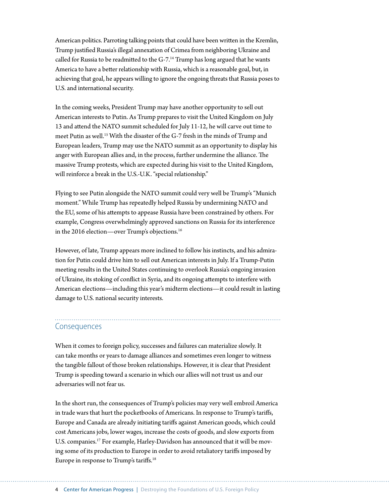American politics. Parroting talking points that could have been written in the Kremlin, Trump justified Russia's illegal annexation of Crimea from neighboring Ukraine and called for Russia to be readmitted to the G-7.<sup>14</sup> Trump has long argued that he wants America to have a better relationship with Russia, which is a reasonable goal, but, in achieving that goal, he appears willing to ignore the ongoing threats that Russia poses to U.S. and international security.

In the coming weeks, President Trump may have another opportunity to sell out American interests to Putin. As Trump prepares to visit the United Kingdom on July 13 and attend the NATO summit scheduled for July 11-12, he will carve out time to meet Putin as well.<sup>15</sup> With the disaster of the G-7 fresh in the minds of Trump and European leaders, Trump may use the NATO summit as an opportunity to display his anger with European allies and, in the process, further undermine the alliance. The massive Trump protests, which are expected during his visit to the United Kingdom, will reinforce a break in the U.S.-U.K. "special relationship."

Flying to see Putin alongside the NATO summit could very well be Trump's "Munich moment." While Trump has repeatedly helped Russia by undermining NATO and the EU, some of his attempts to appease Russia have been constrained by others. For example, Congress overwhelmingly approved sanctions on Russia for its interference in the 2016 election—over Trump's objections.16

However, of late, Trump appears more inclined to follow his instincts, and his admiration for Putin could drive him to sell out American interests in July. If a Trump-Putin meeting results in the United States continuing to overlook Russia's ongoing invasion of Ukraine, its stoking of conflict in Syria, and its ongoing attempts to interfere with American elections—including this year's midterm elections—it could result in lasting damage to U.S. national security interests.

#### Consequences

When it comes to foreign policy, successes and failures can materialize slowly. It can take months or years to damage alliances and sometimes even longer to witness the tangible fallout of those broken relationships. However, it is clear that President Trump is speeding toward a scenario in which our allies will not trust us and our adversaries will not fear us.

In the short run, the consequences of Trump's policies may very well embroil America in trade wars that hurt the pocketbooks of Americans. In response to Trump's tariffs, Europe and Canada are already initiating tariffs against American goods, which could cost Americans jobs, lower wages, increase the costs of goods, and slow exports from U.S. companies.<sup>17</sup> For example, Harley-Davidson has announced that it will be moving some of its production to Europe in order to avoid retaliatory tariffs imposed by Europe in response to Trump's tariffs.18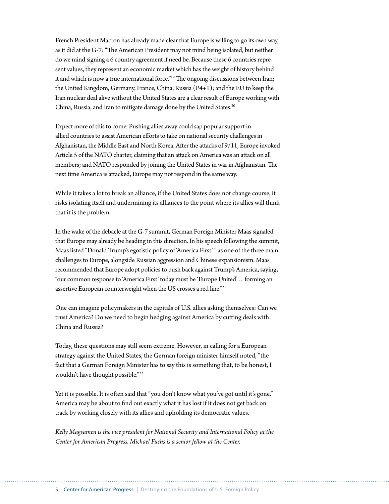French President Macron has already made clear that Europe is willing to go its own way, as it did at the G-7: "The American President may not mind being isolated, but neither do we mind signing a 6 country agreement if need be. Because these 6 countries represent values, they represent an economic market which has the weight of history behind it and which is now a true international force."<sup>19</sup> The ongoing discussions between Iran; the United Kingdom, Germany, France, China, Russia (P4+1); and the EU to keep the Iran nuclear deal alive without the United States are a clear result of Europe working with China, Russia, and Iran to mitigate damage done by the United States.<sup>20</sup>

Expect more of this to come. Pushing allies away could sap popular support in allied countries to assist American efforts to take on national security challenges in Afghanistan, the Middle East and North Korea. After the attacks of 9/11, Europe invoked Article 5 of the NATO charter, claiming that an attack on America was an attack on all members; and NATO responded by joining the United States in war in Afghanistan. The next time America is attacked, Europe may not respond in the same way.

While it takes a lot to break an alliance, if the United States does not change course, it risks isolating itself and undermining its alliances to the point where its allies will think that it is the problem.

In the wake of the debacle at the G-7 summit, German Foreign Minister Maas signaled that Europe may already be heading in this direction. In his speech following the summit, Maas listed "Donald Trump's egotistic policy of 'America First' " as one of the three main challenges to Europe, alongside Russian aggression and Chinese expansionism. Maas recommended that Europe adopt policies to push back against Trump's America, saying, "our common response to 'America First' today must be 'Europe United'… forming an assertive European counterweight when the US crosses a red line."<sup>21</sup>

One can imagine policymakers in the capitals of U.S. allies asking themselves: Can we trust America? Do we need to begin hedging against America by cutting deals with China and Russia?

Today, these questions may still seem extreme. However, in calling for a European strategy against the United States, the German foreign minister himself noted, "the fact that a German Foreign Minister has to say this is something that, to be honest, I wouldn't have thought possible."22

Yet it is possible. It is often said that "you don't know what you've got until it's gone." America may be about to find out exactly what it has lost if it does not get back on track by working closely with its allies and upholding its democratic values.

*Kelly Magsamen is the vice president for National Security and International Policy at the Center for American Progress. Michael Fuchs is a senior fellow at the Center.*